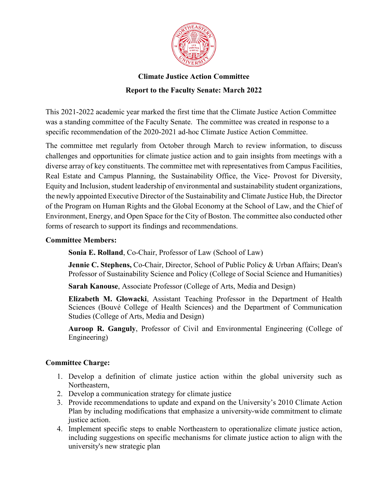

This 2021-2022 academic year marked the first time that the Climate Justice Action Committee was a standing committee of the Faculty Senate. The committee was created in response to a specific recommendation of the 2020-2021 ad-hoc Climate Justice Action Committee.

The committee met regularly from October through March to review information, to discuss challenges and opportunities for climate justice action and to gain insights from meetings with a diverse array of key constituents. The committee met with representatives from Campus Facilities, Real Estate and Campus Planning, the Sustainability Office, the Vice- Provost for Diversity, Equity and Inclusion, student leadership of environmental and sustainability student organizations, the newly appointed Executive Director of the Sustainability and Climate Justice Hub, the Director of the Program on Human Rights and the Global Economy at the School of Law, and the Chief of Environment, Energy, and Open Space for the City of Boston. The committee also conducted other forms of research to support its findings and recommendations.

#### **Committee Members:**

**Sonia E. Rolland**, Co-Chair, Professor of Law (School of Law)

**Jennie C. Stephens,** Co-Chair, Director, School of Public Policy & Urban Affairs; Dean's Professor of Sustainability Science and Policy (College of Social Science and Humanities)

**Sarah Kanouse**, Associate Professor (College of Arts, Media and Design)

**Elizabeth M. Glowacki**, Assistant Teaching Professor in the Department of Health Sciences (Bouvé College of Health Sciences) and the Department of Communication Studies (College of Arts, Media and Design)

**Auroop R. Ganguly**, Professor of Civil and Environmental Engineering (College of Engineering)

# **Committee Charge:**

- 1. Develop a definition of climate justice action within the global university such as Northeastern,
- 2. Develop a communication strategy for climate justice
- 3. Provide recommendations to update and expand on the University's 2010 Climate Action Plan by including modifications that emphasize a university-wide commitment to climate justice action.
- 4. Implement specific steps to enable Northeastern to operationalize climate justice action, including suggestions on specific mechanisms for climate justice action to align with the university's new strategic plan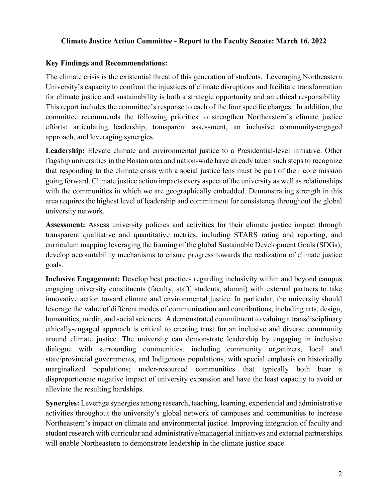#### **Key Findings and Recommendations:**

The climate crisis is the existential threat of this generation of students. Leveraging Northeastern University's capacity to confront the injustices of climate disruptions and facilitate transformation for climate justice and sustainability is both a strategic opportunity and an ethical responsibility. This report includes the committee's response to each of the four specific charges. In addition, the committee recommends the following priorities to strengthen Northeastern's climate justice efforts: articulating leadership, transparent assessment, an inclusive community-engaged approach, and leveraging synergies.

**Leadership:** Elevate climate and environmental justice to a Presidential-level initiative. Other flagship universities in the Boston area and nation-wide have already taken such steps to recognize that responding to the climate crisis with a social justice lens must be part of their core mission going forward. Climate justice action impacts every aspect of the university as well as relationships with the communities in which we are geographically embedded. Demonstrating strength in this area requires the highest level of leadership and commitment for consistency throughout the global university network.

**Assessment:** Assess university policies and activities for their climate justice impact through transparent qualitative and quantitative metrics, including STARS rating and reporting, and curriculum mapping leveraging the framing of the global Sustainable Development Goals (SDGs); develop accountability mechanisms to ensure progress towards the realization of climate justice goals.

**Inclusive Engagement:** Develop best practices regarding inclusivity within and beyond campus engaging university constituents (faculty, staff, students, alumni) with external partners to take innovative action toward climate and environmental justice. In particular, the university should leverage the value of different modes of communication and contributions, including arts, design, humanities, media, and social sciences. A demonstrated commitment to valuing a transdisciplinary ethically-engaged approach is critical to creating trust for an inclusive and diverse community around climate justice. The university can demonstrate leadership by engaging in inclusive dialogue with surrounding communities, including community organizers, local and state/provincial governments, and Indigenous populations, with special emphasis on historically marginalized populations; under-resourced communities that typically both bear a disproportionate negative impact of university expansion and have the least capacity to avoid or alleviate the resulting hardships.

**Synergies:** Leverage synergies among research, teaching, learning, experiential and administrative activities throughout the university's global network of campuses and communities to increase Northeastern's impact on climate and environmental justice. Improving integration of faculty and student research with curricular and administrative/managerial initiatives and external partnerships will enable Northeastern to demonstrate leadership in the climate justice space.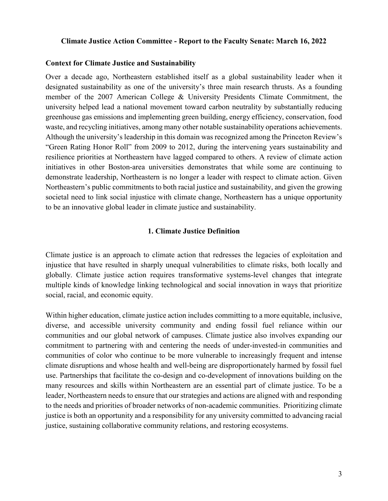#### **Context for Climate Justice and Sustainability**

Over a decade ago, Northeastern established itself as a global sustainability leader when it designated sustainability as one of the university's three main research thrusts. As a founding member of the 2007 American College & University Presidents Climate Commitment, the university helped lead a national movement toward carbon neutrality by substantially reducing greenhouse gas emissions and implementing green building, energy efficiency, conservation, food waste, and recycling initiatives, among many other notable sustainability operations achievements. Although the university's leadership in this domain was recognized among the Princeton Review's "Green Rating Honor Roll" from 2009 to 2012, during the intervening years sustainability and resilience priorities at Northeastern have lagged compared to others. A review of climate action initiatives in other Boston-area universities demonstrates that while some are continuing to demonstrate leadership, Northeastern is no longer a leader with respect to climate action. Given Northeastern's public commitments to both racial justice and sustainability, and given the growing societal need to link social injustice with climate change, Northeastern has a unique opportunity to be an innovative global leader in climate justice and sustainability.

#### **1. Climate Justice Definition**

Climate justice is an approach to climate action that redresses the legacies of exploitation and injustice that have resulted in sharply unequal vulnerabilities to climate risks, both locally and globally. Climate justice action requires transformative systems-level changes that integrate multiple kinds of knowledge linking technological and social innovation in ways that prioritize social, racial, and economic equity.

Within higher education, climate justice action includes committing to a more equitable, inclusive, diverse, and accessible university community and ending fossil fuel reliance within our communities and our global network of campuses. Climate justice also involves expanding our commitment to partnering with and centering the needs of under-invested-in communities and communities of color who continue to be more vulnerable to increasingly frequent and intense climate disruptions and whose health and well-being are disproportionately harmed by fossil fuel use. Partnerships that facilitate the co-design and co-development of innovations building on the many resources and skills within Northeastern are an essential part of climate justice. To be a leader, Northeastern needs to ensure that our strategies and actions are aligned with and responding to the needs and priorities of broader networks of non-academic communities. Prioritizing climate justice is both an opportunity and a responsibility for any university committed to advancing racial justice, sustaining collaborative community relations, and restoring ecosystems.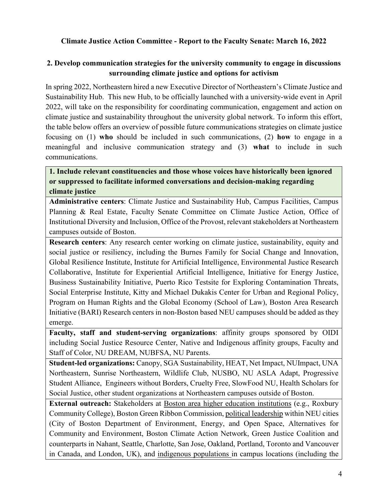# **2. Develop communication strategies for the university community to engage in discussions surrounding climate justice and options for activism**

In spring 2022, Northeastern hired a new Executive Director of Northeastern's Climate Justice and Sustainability Hub. This new Hub, to be officially launched with a university-wide event in April 2022, will take on the responsibility for coordinating communication, engagement and action on climate justice and sustainability throughout the university global network. To inform this effort, the table below offers an overview of possible future communications strategies on climate justice focusing on (1) **who** should be included in such communications, (2) **how** to engage in a meaningful and inclusive communication strategy and (3) **what** to include in such communications.

# **1. Include relevant constituencies and those whose voices have historically been ignored or suppressed to facilitate informed conversations and decision-making regarding climate justice**

**Administrative centers**: Climate Justice and Sustainability Hub, Campus Facilities, Campus Planning & Real Estate, Faculty Senate Committee on Climate Justice Action, Office of Institutional Diversity and Inclusion, Office of the Provost, relevant stakeholders at Northeastern campuses outside of Boston.

**Research centers**: Any research center working on climate justice, sustainability, equity and social justice or resiliency, including the Burnes Family for Social Change and Innovation, Global Resilience Institute, Institute for Artificial Intelligence, Environmental Justice Research Collaborative, Institute for Experiential Artificial Intelligence, Initiative for Energy Justice, Business Sustainability Initiative, Puerto Rico Testsite for Exploring Contamination Threats, Social Enterprise Institute, Kitty and Michael Dukakis Center for Urban and Regional Policy, Program on Human Rights and the Global Economy (School of Law), Boston Area Research Initiative (BARI) Research centers in non-Boston based NEU campuses should be added as they emerge.

**Faculty, staff and student-serving organizations**: affinity groups sponsored by OIDI including Social Justice Resource Center, Native and Indigenous affinity groups, Faculty and Staff of Color, NU DREAM, NUBFSA, NU Parents.

**Student-led organizations:** Canopy, SGA Sustainability, HEAT, Net Impact, NUImpact, UNA Northeastern, Sunrise Northeastern, Wildlife Club, NUSBO, NU ASLA Adapt, Progressive Student Alliance, Engineers without Borders, Cruelty Free, SlowFood NU, Health Scholars for Social Justice, other student organizations at Northeastern campuses outside of Boston.

**External outreach:** Stakeholders at Boston area higher education institutions (e.g., Roxbury Community College), Boston Green Ribbon Commission, political leadership within NEU cities (City of Boston Department of Environment, Energy, and Open Space, Alternatives for Community and Environment, Boston Climate Action Network, Green Justice Coalition and counterparts in Nahant, Seattle, Charlotte, San Jose, Oakland, Portland, Toronto and Vancouver in Canada, and London, UK), and indigenous populations in campus locations (including the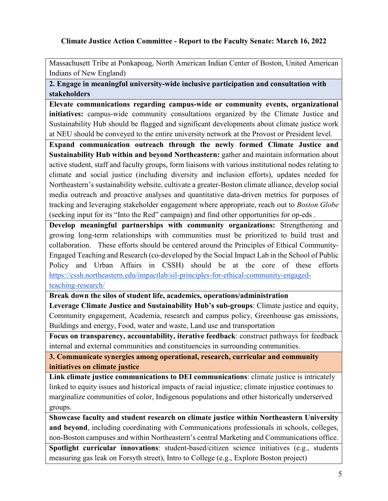Massachusett Tribe at Ponkapoag, North American Indian Center of Boston, United American Indians of New England)

**2. Engage in meaningful university-wide inclusive participation and consultation with stakeholders** 

**Elevate communications regarding campus-wide or community events, organizational initiatives:** campus-wide community consultations organized by the Climate Justice and Sustainability Hub should be flagged and significant developments about climate justice work at NEU should be conveyed to the entire university network at the Provost or President level.

**Expand communication outreach through the newly formed Climate Justice and Sustainability Hub within and beyond Northeastern:** gather and maintain information about active student, staff and faculty groups, form liaisons with various institutional nodes relating to climate and social justice (including diversity and inclusion efforts), updates needed for Northeastern's sustainability website, cultivate a greater-Boston climate alliance, develop social media outreach and proactive analyses and quantitative data-driven metrics for purposes of tracking and leveraging stakeholder engagement where appropriate, reach out to *Boston Globe* (seeking input for its "Into the Red" campaign) and find other opportunities for op-eds .

**Develop meaningful partnerships with community organizations:** Strengthening and growing long-term relationships with communities must be prioritized to build trust and collaboration. These efforts should be centered around the Principles of Ethical Community-Engaged Teaching and Research (co-developed by the Social Impact Lab in the School of Public Policy and Urban Affairs in CSSH) should be at the core of these efforts [https://cssh.northeastern.edu/impactlab/sil-principles-for-ethical-community-engaged](https://cssh.northeastern.edu/impactlab/sil-principles-for-ethical-community-engaged-teaching-research/)[teaching-research/](https://cssh.northeastern.edu/impactlab/sil-principles-for-ethical-community-engaged-teaching-research/)

**Break down the silos of student life, academics, operations/administration**

**Leverage Climate Justice and Sustainability Hub's sub-groups**: Climate justice and equity, Community engagement, Academia, research and campus policy, Greenhouse gas emissions, Buildings and energy, Food, water and waste, Land use and transportation

**Focus on transparency, accountability, iterative feedback**: construct pathways for feedback internal and external communities and constituencies in surrounding communities.

**3. Communicate synergies among operational, research, curricular and community initiatives on climate justice**

**Link climate justice communications to DEI communications**: climate justice is intricately linked to equity issues and historical impacts of racial injustice; climate injustice continues to marginalize communities of color, Indigenous populations and other historically underserved groups.

**Showcase faculty and student research on climate justice within Northeastern University and beyond**, including coordinating with Communications professionals in schools, colleges, non-Boston campuses and within Northeastern's central Marketing and Communications office.

**Spotlight curricular innovations**: student-based/citizen science initiatives (e.g., students measuring gas leak on Forsyth street), Intro to College (e.g., Explore Boston project)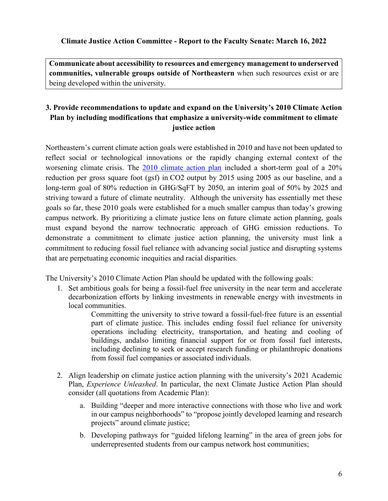**Communicate about accessibility to resources and emergency management to underserved communities, vulnerable groups outside of Northeastern** when such resources exist or are being developed within the university.

# **3. Provide recommendations to update and expand on the University's 2010 Climate Action Plan by including modifications that emphasize a university-wide commitment to climate justice action**

Northeastern's current climate action goals were established in 2010 and have not been updated to reflect social or technological innovations or the rapidly changing external context of the worsening climate crisis. The [2010 climate action plan](https://facilities.northeastern.edu/wp-content/uploads/2018/03/NEU-Sustainable-Action-Plan.pdf) included a short-term goal of a 20% reduction per gross square foot (gsf) in CO2 output by 2015 using 2005 as our baseline, and a long-term goal of 80% reduction in GHG/SqFT by 2050, an interim goal of 50% by 2025 and striving toward a future of climate neutrality. Although the university has essentially met these goals so far, these 2010 goals were established for a much smaller campus than today's growing campus network. By prioritizing a climate justice lens on future climate action planning, goals must expand beyond the narrow technocratic approach of GHG emission reductions. To demonstrate a commitment to climate justice action planning, the university must link a commitment to reducing fossil fuel reliance with advancing social justice and disrupting systems that are perpetuating economic inequities and racial disparities.

The University's 2010 Climate Action Plan should be updated with the following goals:

1. Set ambitious goals for being a fossil-fuel free university in the near term and accelerate decarbonization efforts by linking investments in renewable energy with investments in local communities.

> Committing the university to strive toward a fossil-fuel-free future is an essential part of climate justice. This includes ending fossil fuel reliance for university operations including electricity, transportation, and heating and cooling of buildings, andalso limiting financial support for or from fossil fuel interests, including declining to seek or accept research funding or philanthropic donations from fossil fuel companies or associated individuals.

- 2. Align leadership on climate justice action planning with the university's 2021 Academic Plan, *Experience Unleashed*. In particular, the next Climate Justice Action Plan should consider (all quotations from Academic Plan):
	- a. Building "deeper and more interactive connections with those who live and work in our campus neighborhoods" to "propose jointly developed learning and research projects" around climate justice;
	- b. Developing pathways for "guided lifelong learning" in the area of green jobs for underrepresented students from our campus network host communities;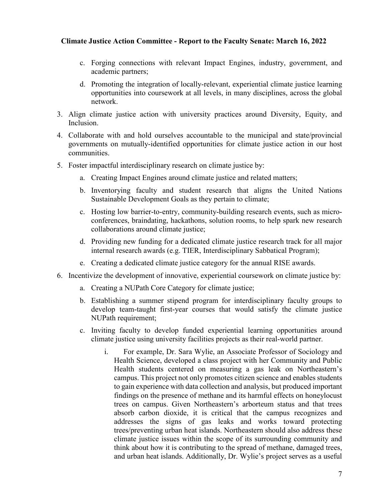- c. Forging connections with relevant Impact Engines, industry, government, and academic partners;
- d. Promoting the integration of locally-relevant, experiential climate justice learning opportunities into coursework at all levels, in many disciplines, across the global network.
- 3. Align climate justice action with university practices around Diversity, Equity, and Inclusion.
- 4. Collaborate with and hold ourselves accountable to the municipal and state/provincial governments on mutually-identified opportunities for climate justice action in our host communities.
- 5. Foster impactful interdisciplinary research on climate justice by:
	- a. Creating Impact Engines around climate justice and related matters;
	- b. Inventorying faculty and student research that aligns the United Nations Sustainable Development Goals as they pertain to climate;
	- c. Hosting low barrier-to-entry, community-building research events, such as microconferences, braindating, hackathons, solution rooms, to help spark new research collaborations around climate justice;
	- d. Providing new funding for a dedicated climate justice research track for all major internal research awards (e.g. TIER, Interdisciplinary Sabbatical Program);
	- e. Creating a dedicated climate justice category for the annual RISE awards.
- 6. Incentivize the development of innovative, experiential coursework on climate justice by:
	- a. Creating a NUPath Core Category for climate justice;
	- b. Establishing a summer stipend program for interdisciplinary faculty groups to develop team-taught first-year courses that would satisfy the climate justice NUPath requirement;
	- c. Inviting faculty to develop funded experiential learning opportunities around climate justice using university facilities projects as their real-world partner.
		- i. For example, Dr. Sara Wylie, an Associate Professor of Sociology and Health Science, developed a class project with her Community and Public Health students centered on measuring a gas leak on Northeastern's campus. This project not only promotes citizen science and enables students to gain experience with data collection and analysis, but produced important findings on the presence of methane and its harmful effects on honeylocust trees on campus. Given Northeastern's arborteum status and that trees absorb carbon dioxide, it is critical that the campus recognizes and addresses the signs of gas leaks and works toward protecting trees/preventing urban heat islands. Northeastern should also address these climate justice issues within the scope of its surrounding community and think about how it is contributing to the spread of methane, damaged trees, and urban heat islands. Additionally, Dr. Wylie's project serves as a useful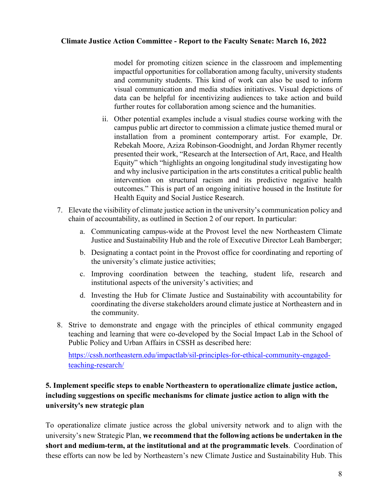model for promoting citizen science in the classroom and implementing impactful opportunities for collaboration among faculty, university students and community students. This kind of work can also be used to inform visual communication and media studies initiatives. Visual depictions of data can be helpful for incentivizing audiences to take action and build further routes for collaboration among science and the humanities.

- ii. Other potential examples include a visual studies course working with the campus public art director to commission a climate justice themed mural or installation from a prominent contemporary artist. For example, Dr. Rebekah Moore, Aziza Robinson-Goodnight, and Jordan Rhymer recently presented their work, "Research at the Intersection of Art, Race, and Health Equity" which "highlights an ongoing longitudinal study investigating how and why inclusive participation in the arts constitutes a critical public health intervention on structural racism and its predictive negative health outcomes." This is part of an ongoing initiative housed in the Institute for Health Equity and Social Justice Research.
- 7. Elevate the visibility of climate justice action in the university's communication policy and chain of accountability, as outlined in Section 2 of our report. In particular:
	- a. Communicating campus-wide at the Provost level the new Northeastern Climate Justice and Sustainability Hub and the role of Executive Director Leah Bamberger;
	- b. Designating a contact point in the Provost office for coordinating and reporting of the university's climate justice activities;
	- c. Improving coordination between the teaching, student life, research and institutional aspects of the university's activities; and
	- d. Investing the Hub for Climate Justice and Sustainability with accountability for coordinating the diverse stakeholders around climate justice at Northeastern and in the community.
- 8. Strive to demonstrate and engage with the principles of ethical community engaged teaching and learning that were co-developed by the Social Impact Lab in the School of Public Policy and Urban Affairs in CSSH as described here:

[https://cssh.northeastern.edu/impactlab/sil-principles-for-ethical-community-engaged](https://cssh.northeastern.edu/impactlab/sil-principles-for-ethical-community-engaged-teaching-research/)[teaching-research/](https://cssh.northeastern.edu/impactlab/sil-principles-for-ethical-community-engaged-teaching-research/)

# **5. Implement specific steps to enable Northeastern to operationalize climate justice action, including suggestions on specific mechanisms for climate justice action to align with the university's new strategic plan**

To operationalize climate justice across the global university network and to align with the university's new Strategic Plan, **we recommend that the following actions be undertaken in the short and medium-term, at the institutional and at the programmatic levels**. Coordination of these efforts can now be led by Northeastern's new Climate Justice and Sustainability Hub. This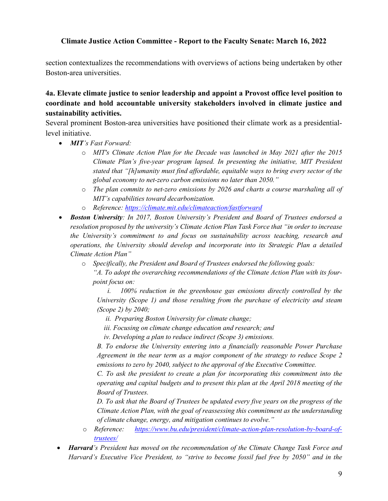section contextualizes the recommendations with overviews of actions being undertaken by other Boston-area universities.

# **4a. Elevate climate justice to senior leadership and appoint a Provost office level position to coordinate and hold accountable university stakeholders involved in climate justice and sustainability activities.**

Several prominent Boston-area universities have positioned their climate work as a presidentiallevel initiative.

- *MIT's Fast Forward:* 
	- o *MIT's Climate Action Plan for the Decade was launched in May 2021 after the 2015 Climate Plan's five-year program lapsed. In presenting the initiative, MIT President stated that "[h]umanity must find affordable, equitable ways to bring every sector of the global economy to net-zero carbon emissions no later than 2050."*
	- o *The plan commits to net-zero emissions by 2026 and charts a course marshaling all of MIT's capabilities toward decarbonization.*
	- o *Reference:<https://climate.mit.edu/climateaction/fastforward>*
- *Boston University: In 2017, Boston University's President and Board of Trustees endorsed a resolution proposed by the university's Climate Action Plan Task Force that "in order to increase the University's commitment to and focus on sustainability across teaching, research and operations, the University should develop and incorporate into its Strategic Plan a detailed Climate Action Plan"* 
	- o *Specifically, the President and Board of Trustees endorsed the following goals:*
		- *"A. To adopt the overarching recommendations of the Climate Action Plan with its fourpoint focus on:*
		- *i. 100% reduction in the greenhouse gas emissions directly controlled by the University (Scope 1) and those resulting from the purchase of electricity and steam (Scope 2) by 2040;*
			- *ii. Preparing Boston University for climate change;*
			- *iii. Focusing on climate change education and research; and*
			- *iv. Developing a plan to reduce indirect (Scope 3) emissions.*

*B. To endorse the University entering into a financially reasonable Power Purchase Agreement in the near term as a major component of the strategy to reduce Scope 2 emissions to zero by 2040, subject to the approval of the Executive Committee.*

*C. To ask the president to create a plan for incorporating this commitment into the operating and capital budgets and to present this plan at the April 2018 meeting of the Board of Trustees.*

*D. To ask that the Board of Trustees be updated every five years on the progress of the Climate Action Plan, with the goal of reassessing this commitment as the understanding of climate change, energy, and mitigation continues to evolve."*

- o *Reference: [https://www.bu.edu/president/climate-action-plan-resolution-by-board-of](https://www.bu.edu/president/climate-action-plan-resolution-by-board-of-trustees/)[trustees/](https://www.bu.edu/president/climate-action-plan-resolution-by-board-of-trustees/)*
- *Harvard's President has moved on the recommendation of the Climate Change Task Force and Harvard's Executive Vice President, to "strive to become fossil fuel free by 2050" and in the*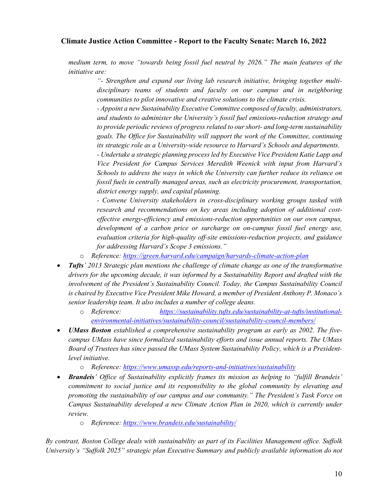*medium term, to move "towards being fossil fuel neutral by 2026." The main features of the initiative are:*

> *"- Strengthen and expand our living lab research initiative, bringing together multidisciplinary teams of students and faculty on our campus and in neighboring communities to pilot innovative and creative solutions to the climate crisis.*

> *- Appoint a new Sustainability Executive Committee composed of faculty, administrators, and students to administer the University's fossil fuel emissions-reduction strategy and to provide periodic reviews of progress related to our short- and long-term sustainability goals. The Office for Sustainability will support the work of the Committee, continuing its strategic role as a University-wide resource to Harvard's Schools and departments.*

> *- Undertake a strategic planning process led by Executive Vice President Katie Lapp and Vice President for Campus Services Meredith Weenick with input from Harvard's Schools to address the ways in which the University can further reduce its reliance on fossil fuels in centrally managed areas, such as electricity procurement, transportation, district energy supply, and capital planning.*

> *- Convene University stakeholders in cross-disciplinary working groups tasked with research and recommendations on key areas including adoption of additional costeffective energy-efficiency and emissions-reduction opportunities on our own campus, development of a carbon price or surcharge on on-campus fossil fuel energy use, evaluation criteria for high-quality off-site emissions-reduction projects, and guidance for addressing Harvard's Scope 3 emissions."*

- o *Reference:<https://green.harvard.edu/campaign/harvards-climate-action-plan>*
- *Tufts' 2013 Strategic plan mentions the challenge of climate change as one of the transformative drivers for the upcoming decade, it was informed by a Sustainability Report and drafted with the involvement of the President's Sustainability Council. Today, the Campus Sustainability Council is chaired by Executive Vice President Mike Howard, a member of President Anthony P. Monaco's senior leadership team. It also includes a number of college deans.* 
	- o *Reference: [https://sustainability.tufts.edu/sustainability-at-tufts/institutional](https://sustainability.tufts.edu/sustainability-at-tufts/institutional-environmental-initiatives/sustainability-council/sustainability-council-members/)[environmental-initiatives/sustainability-council/sustainability-council-members/](https://sustainability.tufts.edu/sustainability-at-tufts/institutional-environmental-initiatives/sustainability-council/sustainability-council-members/)*
- *UMass Boston established a comprehensive sustainability program as early as 2002. The fivecampus UMass have since formalized sustainability efforts and issue annual reports. The UMass Board of Trustees has since passed the UMass System Sustainability Policy, which is a Presidentlevel initiative.*
	- o *Reference: <https://www.umassp.edu/reports-and-initiatives/sustainability>*
- *Brandeis' Office of Sustainability explicitly frames its mission as helping to "fulfill Brandeis' commitment to social justice and its responsibility to the global community by elevating and promoting the sustainability of our campus and our community." The President's Task Force on Campus Sustainability developed a new Climate Action Plan in 2020, which is currently under review.* 
	- o *Reference:<https://www.brandeis.edu/sustainability/>*

*By contrast, Boston College deals with sustainability as part of its Facilities Management office. Suffolk University's "Suffolk 2025" strategic plan Executive Summary and publicly available information do not*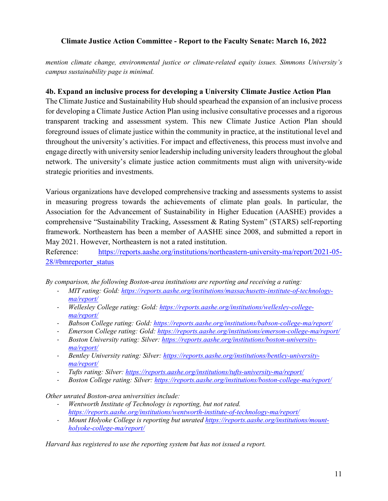*mention climate change, environmental justice or climate-related equity issues. Simmons University's campus sustainability page is minimal.* 

### **4b. Expand an inclusive process for developing a University Climate Justice Action Plan**

The Climate Justice and Sustainability Hub should spearhead the expansion of an inclusive process for developing a Climate Justice Action Plan using inclusive consultative processes and a rigorous transparent tracking and assessment system. This new Climate Justice Action Plan should foreground issues of climate justice within the community in practice, at the institutional level and throughout the university's activities. For impact and effectiveness, this process must involve and engage directly with university senior leadership including university leaders throughout the global network. The university's climate justice action commitments must align with university-wide strategic priorities and investments.

Various organizations have developed comprehensive tracking and assessments systems to assist in measuring progress towards the achievements of climate plan goals. In particular, the Association for the Advancement of Sustainability in Higher Education (AASHE) provides a comprehensive "Sustainability Tracking, Assessment & Rating System" (STARS) self-reporting framework. Northeastern has been a member of AASHE since 2008, and submitted a report in May 2021. However, Northeastern is not a rated institution.

Reference: [https://reports.aashe.org/institutions/northeastern-university-ma/report/2021-05-](https://reports.aashe.org/institutions/northeastern-university-ma/report/2021-05-28/#bmreporter_status) [28/#bmreporter\\_status](https://reports.aashe.org/institutions/northeastern-university-ma/report/2021-05-28/#bmreporter_status)

*By comparison, the following Boston-area institutions are reporting and receiving a rating:*

- *MIT rating: Gold: [https://reports.aashe.org/institutions/massachusetts-institute-of-technology](https://reports.aashe.org/institutions/massachusetts-institute-of-technology-ma/report/)[ma/report/](https://reports.aashe.org/institutions/massachusetts-institute-of-technology-ma/report/)*
- *Wellesley College rating: Gold: [https://reports.aashe.org/institutions/wellesley-college](https://reports.aashe.org/institutions/wellesley-college-ma/report/)[ma/report/](https://reports.aashe.org/institutions/wellesley-college-ma/report/)*
- *Babson College rating: Gold: <https://reports.aashe.org/institutions/babson-college-ma/report/>*
- *Emerson College rating: Gold: <https://reports.aashe.org/institutions/emerson-college-ma/report/>*
- *Boston University rating: Silver: [https://reports.aashe.org/institutions/boston-university](https://reports.aashe.org/institutions/boston-university-ma/report/)[ma/report/](https://reports.aashe.org/institutions/boston-university-ma/report/)*
- *Bentley University rating: Silver: [https://reports.aashe.org/institutions/bentley-university](https://reports.aashe.org/institutions/bentley-university-ma/report/)[ma/report/](https://reports.aashe.org/institutions/bentley-university-ma/report/)*
- *Tufts rating: Silver:<https://reports.aashe.org/institutions/tufts-university-ma/report/>*
- *Boston College rating: Silver[: https://reports.aashe.org/institutions/boston-college-ma/report/](https://reports.aashe.org/institutions/boston-college-ma/report/)*

*Other unrated Boston-area universities include:*

- *Wentworth Institute of Technology is reporting, but not rated. <https://reports.aashe.org/institutions/wentworth-institute-of-technology-ma/report/>*
- *Mount Holyoke College is reporting but unrated [https://reports.aashe.org/institutions/mount](https://reports.aashe.org/institutions/mount-holyoke-college-ma/report/)[holyoke-college-ma/report/](https://reports.aashe.org/institutions/mount-holyoke-college-ma/report/)*

*Harvard has registered to use the reporting system but has not issued a report.*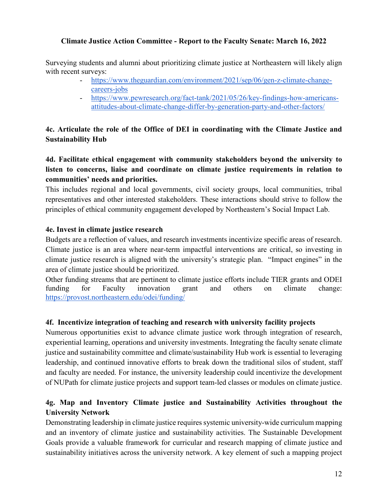Surveying students and alumni about prioritizing climate justice at Northeastern will likely align with recent surveys:

- [https://www.theguardian.com/environment/2021/sep/06/gen-z-climate-change](https://www.theguardian.com/environment/2021/sep/06/gen-z-climate-change-careers-jobs)[careers-jobs](https://www.theguardian.com/environment/2021/sep/06/gen-z-climate-change-careers-jobs)
- [https://www.pewresearch.org/fact-tank/2021/05/26/key-findings-how-americans](https://www.pewresearch.org/fact-tank/2021/05/26/key-findings-how-americans-attitudes-about-climate-change-differ-by-generation-party-and-other-factors/)[attitudes-about-climate-change-differ-by-generation-party-and-other-factors/](https://www.pewresearch.org/fact-tank/2021/05/26/key-findings-how-americans-attitudes-about-climate-change-differ-by-generation-party-and-other-factors/)

# **4c. Articulate the role of the Office of DEI in coordinating with the Climate Justice and Sustainability Hub**

**4d. Facilitate ethical engagement with community stakeholders beyond the university to listen to concerns, liaise and coordinate on climate justice requirements in relation to communities' needs and priorities.** 

This includes regional and local governments, civil society groups, local communities, tribal representatives and other interested stakeholders. These interactions should strive to follow the principles of ethical community engagement developed by Northeastern's Social Impact Lab.

## **4e. Invest in climate justice research**

Budgets are a reflection of values, and research investments incentivize specific areas of research. Climate justice is an area where near-term impactful interventions are critical, so investing in climate justice research is aligned with the university's strategic plan. "Impact engines" in the area of climate justice should be prioritized.

Other funding streams that are pertinent to climate justice efforts include TIER grants and ODEI funding for Faculty innovation grant and others on climate change: <https://provost.northeastern.edu/odei/funding/>

#### **4f. Incentivize integration of teaching and research with university facility projects**

Numerous opportunities exist to advance climate justice work through integration of research, experiential learning, operations and university investments. Integrating the faculty senate climate justice and sustainability committee and climate/sustainability Hub work is essential to leveraging leadership, and continued innovative efforts to break down the traditional silos of student, staff and faculty are needed. For instance, the university leadership could incentivize the development of NUPath for climate justice projects and support team-led classes or modules on climate justice.

# **4g. Map and Inventory Climate justice and Sustainability Activities throughout the University Network**

Demonstrating leadership in climate justice requires systemic university-wide curriculum mapping and an inventory of climate justice and sustainability activities. The Sustainable Development Goals provide a valuable framework for curricular and research mapping of climate justice and sustainability initiatives across the university network. A key element of such a mapping project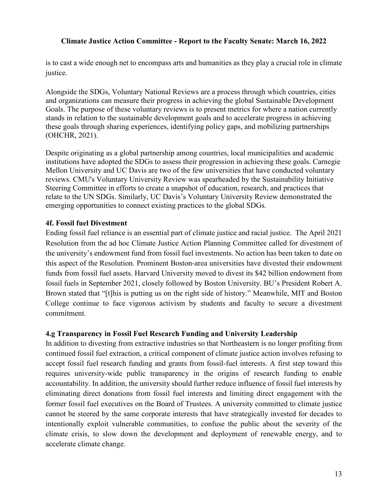is to cast a wide enough net to encompass arts and humanities as they play a crucial role in climate justice.

Alongside the SDGs, Voluntary National Reviews are a process through which countries, cities and organizations can measure their progress in achieving the global Sustainable Development Goals. The purpose of these voluntary reviews is to present metrics for where a nation currently stands in relation to the sustainable development goals and to accelerate progress in achieving these goals through sharing experiences, identifying policy gaps, and mobilizing partnerships (OHCHR, 2021).

Despite originating as a global partnership among countries, local municipalities and academic institutions have adopted the SDGs to assess their progression in achieving these goals. Carnegie Mellon University and UC Davis are two of the few universities that have conducted voluntary reviews. CMU's Voluntary University Review was spearheaded by the Sustainability Initiative Steering Committee in efforts to create a snapshot of education, research, and practices that relate to the UN SDGs. Similarly, UC Davis's Voluntary University Review demonstrated the emerging opportunities to connect existing practices to the global SDGs.

#### **4f. Fossil fuel Divestment**

Ending fossil fuel reliance is an essential part of climate justice and racial justice. The April 2021 Resolution from the ad hoc Climate Justice Action Planning Committee called for divestment of the university's endowment fund from fossil fuel investments. No action has been taken to date on this aspect of the Resolution. Prominent Boston-area universities have divested their endowment funds from fossil fuel assets. Harvard University moved to divest its \$42 billion endowment from fossil fuels in September 2021, closely followed by Boston University. BU's President Robert A. Brown stated that "[t]his is putting us on the right side of history." Meanwhile, MIT and Boston College continue to face vigorous activism by students and faculty to secure a divestment commitment.

#### **4.g Transparency in Fossil Fuel Research Funding and University Leadership**

In addition to divesting from extractive industries so that Northeastern is no longer profiting from continued fossil fuel extraction, a critical component of climate justice action involves refusing to accept fossil fuel research funding and grants from fossil-fuel interests. A first step toward this requires university-wide public transparency in the origins of research funding to enable accountability. In addition, the university should further reduce influence of fossil fuel interests by eliminating direct donations from fossil fuel interests and limiting direct engagement with the former fossil fuel executives on the Board of Trustees. A university committed to climate justice cannot be steered by the same corporate interests that have strategically invested for decades to intentionally exploit vulnerable communities, to confuse the public about the severity of the climate crisis, to slow down the development and deployment of renewable energy, and to accelerate climate change.